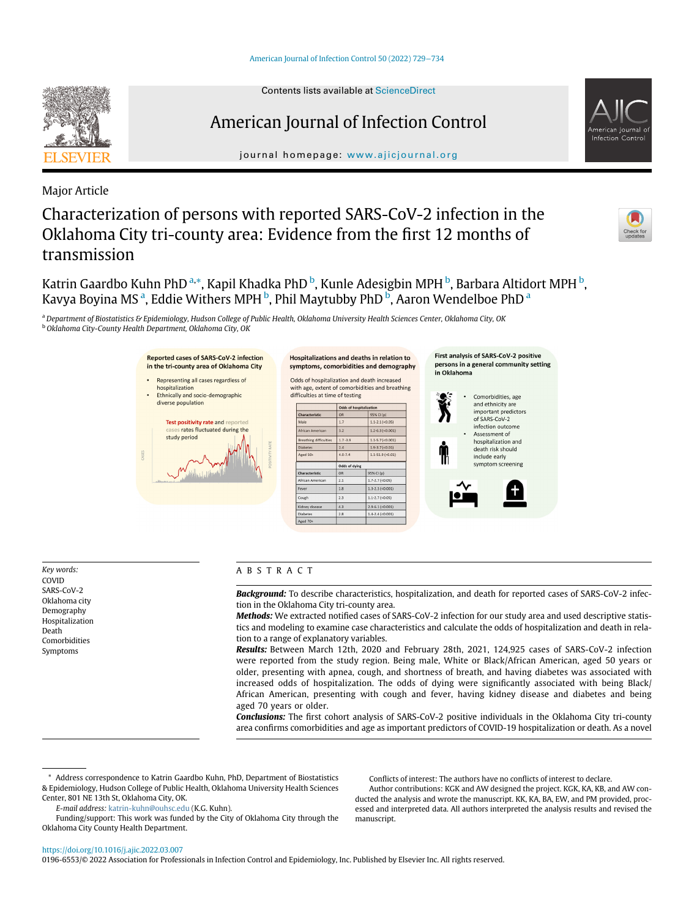

# American Journal of Infection Control

journal homepage: [www.ajicjournal.org](http://www.ajicjournal.org)

Hospitalizations and deaths in relation to

Major Article

# Characterization of persons with reported SARS-CoV-2 infection in the Oklahoma City tri-county area: Evidence from the first 12 months of transmission

K[a](#page-0-0)trin Gaardbo Kuhn PhD <sup>a,</sup>[\\*,](#page-0-1) Kapil Khadka PhD <sup>[b](#page-0-2)</sup>, Kunle Adesigbin MPH <sup>b</sup>, Barbara Altidort MPH <sup>b</sup>, K[a](#page-0-0)vya Boyina MS<sup>.a</sup>, Eddie Withers MPH <sup>[b](#page-0-2)</sup>, Phil Maytubby PhD <sup>b</sup>, Aaron Wendelboe PhD <sup>a</sup>

<span id="page-0-2"></span><span id="page-0-0"></span>a Department of Biostatistics & Epidemiology, Hudson College of Public Health, Oklahoma University Health Sciences Center, Oklahoma City, OK <sup>b</sup> Oklahoma City-County Health Department, Oklahoma City, OK

Reported cases of SARS-CoV-2 infection



Key words: COVID SARS-CoV-2 Oklahoma city Demography Hospitalization Death Comorbidities Symptoms

## ABSTRACT

Background: To describe characteristics, hospitalization, and death for reported cases of SARS-CoV-2 infection in the Oklahoma City tri-county area.

Methods: We extracted notified cases of SARS-CoV-2 infection for our study area and used descriptive statistics and modeling to examine case characteristics and calculate the odds of hospitalization and death in relation to a range of explanatory variables.

Results: Between March 12th, 2020 and February 28th, 2021, 124,925 cases of SARS-CoV-2 infection were reported from the study region. Being male, White or Black/African American, aged 50 years or older, presenting with apnea, cough, and shortness of breath, and having diabetes was associated with increased odds of hospitalization. The odds of dying were significantly associated with being Black/ African American, presenting with cough and fever, having kidney disease and diabetes and being aged 70 years or older.

Conclusions: The first cohort analysis of SARS-CoV-2 positive individuals in the Oklahoma City tri-county area confirms comorbidities and age as important predictors of COVID-19 hospitalization or death. As a novel

<span id="page-0-1"></span>Address correspondence to Katrin Gaardbo Kuhn, PhD, Department of Biostatistics & Epidemiology, Hudson College of Public Health, Oklahoma University Health Sciences Center, 801 NE 13th St, Oklahoma City, OK.

E-mail address: [katrin-kuhn@ouhsc.edu](mailto:katrin-kuhn@ouhsc.edu) (K.G. Kuhn).

Funding/support: This work was funded by the City of Oklahoma City through the Oklahoma City County Health Department.

Conflicts of interest: The authors have no conflicts of interest to declare.

First analysis of SARS-CoV-2 positive

Author contributions: KGK and AW designed the project. KGK, KA, KB, and AW conducted the analysis and wrote the manuscript. KK, KA, BA, EW, and PM provided, processed and interpreted data. All authors interpreted the analysis results and revised the manuscript.

<https://doi.org/10.1016/j.ajic.2022.03.007>

0196-6553/© 2022 Association for Professionals in Infection Control and Epidemiology, Inc. Published by Elsevier Inc. All rights reserved.





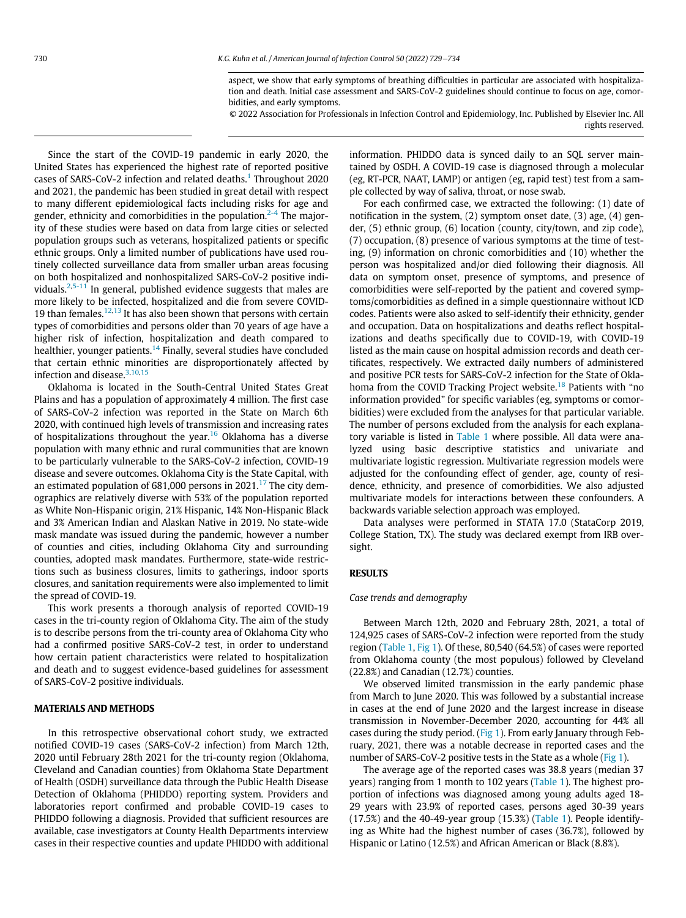aspect, we show that early symptoms of breathing difficulties in particular are associated with hospitalization and death. Initial case assessment and SARS-CoV-2 guidelines should continue to focus on age, comorbidities, and early symptoms.

© 2022 Association for Professionals in Infection Control and Epidemiology, Inc. Published by Elsevier Inc. All rights reserved.

Since the start of the COVID-19 pandemic in early 2020, the United States has experienced the highest rate of reported positive cases of SARS-CoV-2 infection and related deaths.<sup>[1](#page-5-0)</sup> Throughout 2020 and 2021, the pandemic has been studied in great detail with respect to many different epidemiological facts including risks for age and gender, ethnicity and comorbidities in the population.<sup>[2-4](#page-5-1)</sup> The majority of these studies were based on data from large cities or selected population groups such as veterans, hospitalized patients or specific ethnic groups. Only a limited number of publications have used routinely collected surveillance data from smaller urban areas focusing on both hospitalized and nonhospitalized SARS-CoV-2 positive individuals. $2,5-11$  $2,5-11$  $2,5-11$  In general, published evidence suggests that males are more likely to be infected, hospitalized and die from severe COVID-19 than females.<sup>[12](#page-5-3),[13](#page-5-4)</sup> It has also been shown that persons with certain types of comorbidities and persons older than 70 years of age have a higher risk of infection, hospitalization and death compared to healthier, younger patients.[14](#page-5-5) Finally, several studies have concluded that certain ethnic minorities are disproportionately affected by infection and disease.<sup>[3](#page-5-6),[10,](#page-5-7)[15](#page-5-8)</sup>

Oklahoma is located in the South-Central United States Great Plains and has a population of approximately 4 million. The first case of SARS-CoV-2 infection was reported in the State on March 6th 2020, with continued high levels of transmission and increasing rates of hospitalizations throughout the year.<sup>[16](#page-5-9)</sup> Oklahoma has a diverse population with many ethnic and rural communities that are known to be particularly vulnerable to the SARS-CoV-2 infection, COVID-19 disease and severe outcomes. Oklahoma City is the State Capital, with an estimated population of 681,000 persons in 2021.<sup>[17](#page-5-10)</sup> The city demographics are relatively diverse with 53% of the population reported as White Non-Hispanic origin, 21% Hispanic, 14% Non-Hispanic Black and 3% American Indian and Alaskan Native in 2019. No state-wide mask mandate was issued during the pandemic, however a number of counties and cities, including Oklahoma City and surrounding counties, adopted mask mandates. Furthermore, state-wide restrictions such as business closures, limits to gatherings, indoor sports closures, and sanitation requirements were also implemented to limit the spread of COVID-19.

This work presents a thorough analysis of reported COVID-19 cases in the tri-county region of Oklahoma City. The aim of the study is to describe persons from the tri-county area of Oklahoma City who had a confirmed positive SARS-CoV-2 test, in order to understand how certain patient characteristics were related to hospitalization and death and to suggest evidence-based guidelines for assessment of SARS-CoV-2 positive individuals.

#### MATERIALS AND METHODS

In this retrospective observational cohort study, we extracted notified COVID-19 cases (SARS-CoV-2 infection) from March 12th, 2020 until February 28th 2021 for the tri-county region (Oklahoma, Cleveland and Canadian counties) from Oklahoma State Department of Health (OSDH) surveillance data through the Public Health Disease Detection of Oklahoma (PHIDDO) reporting system. Providers and laboratories report confirmed and probable COVID-19 cases to PHIDDO following a diagnosis. Provided that sufficient resources are available, case investigators at County Health Departments interview cases in their respective counties and update PHIDDO with additional information. PHIDDO data is synced daily to an SQL server maintained by OSDH. A COVID-19 case is diagnosed through a molecular (eg, RT-PCR, NAAT, LAMP) or antigen (eg, rapid test) test from a sample collected by way of saliva, throat, or nose swab.

For each confirmed case, we extracted the following: (1) date of notification in the system, (2) symptom onset date, (3) age, (4) gender, (5) ethnic group, (6) location (county, city/town, and zip code), (7) occupation, (8) presence of various symptoms at the time of testing, (9) information on chronic comorbidities and (10) whether the person was hospitalized and/or died following their diagnosis. All data on symptom onset, presence of symptoms, and presence of comorbidities were self-reported by the patient and covered symptoms/comorbidities as defined in a simple questionnaire without ICD codes. Patients were also asked to self-identify their ethnicity, gender and occupation. Data on hospitalizations and deaths reflect hospitalizations and deaths specifically due to COVID-19, with COVID-19 listed as the main cause on hospital admission records and death certificates, respectively. We extracted daily numbers of administered and positive PCR tests for SARS-CoV-2 infection for the State of Okla-homa from the COVID Tracking Project website.<sup>[18](#page-5-11)</sup> Patients with "no information provided" for specific variables (eg, symptoms or comorbidities) were excluded from the analyses for that particular variable. The number of persons excluded from the analysis for each explanatory variable is listed in [Table 1](#page-2-0) where possible. All data were analyzed using basic descriptive statistics and univariate and multivariate logistic regression. Multivariate regression models were adjusted for the confounding effect of gender, age, county of residence, ethnicity, and presence of comorbidities. We also adjusted multivariate models for interactions between these confounders. A backwards variable selection approach was employed.

Data analyses were performed in STATA 17.0 (StataCorp 2019, College Station, TX). The study was declared exempt from IRB oversight.

# **RESULTS**

#### Case trends and demography

Between March 12th, 2020 and February 28th, 2021, a total of 124,925 cases of SARS-CoV-2 infection were reported from the study region [\(Table 1](#page-2-0), [Fig 1\)](#page-3-0). Of these, 80,540 (64.5%) of cases were reported from Oklahoma county (the most populous) followed by Cleveland (22.8%) and Canadian (12.7%) counties.

We observed limited transmission in the early pandemic phase from March to June 2020. This was followed by a substantial increase in cases at the end of June 2020 and the largest increase in disease transmission in November-December 2020, accounting for 44% all cases during the study period. ([Fig 1\)](#page-3-0). From early January through February, 2021, there was a notable decrease in reported cases and the number of SARS-CoV-2 positive tests in the State as a whole [\(Fig 1\)](#page-3-0).

The average age of the reported cases was 38.8 years (median 37 years) ranging from 1 month to 102 years ([Table 1\)](#page-2-0). The highest proportion of infections was diagnosed among young adults aged 18- 29 years with 23.9% of reported cases, persons aged 30-39 years  $(17.5%)$  and the 40-49-year group  $(15.3%)$  ([Table 1](#page-2-0)). People identifying as White had the highest number of cases (36.7%), followed by Hispanic or Latino (12.5%) and African American or Black (8.8%).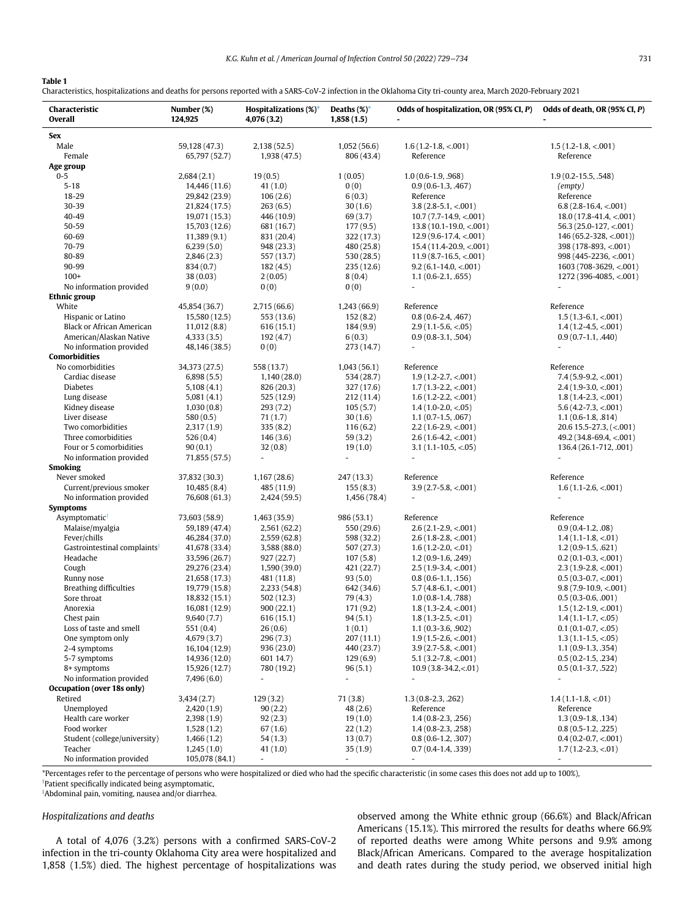## <span id="page-2-0"></span>Table 1

Characteristics, hospitalizations and deaths for persons reported with a SARS-CoV-2 infection in the Oklahoma City tri-county area, March 2020-February 2021

| Characteristic<br>Overall                                | Number (%)<br>124,925          | <b>Hospitalizations</b> (%)*<br>4,076 (3.2) | Deaths $(\%)^*$<br>1,858(1.5) | Odds of hospitalization, OR (95% CI, P)             | Odds of death, OR (95% CI, P)                         |
|----------------------------------------------------------|--------------------------------|---------------------------------------------|-------------------------------|-----------------------------------------------------|-------------------------------------------------------|
| Sex                                                      |                                |                                             |                               |                                                     |                                                       |
| Male                                                     | 59,128 (47.3)                  | 2,138 (52.5)                                | 1,052(56.6)                   | $1.6(1.2 - 1.8, < .001)$                            | $1.5(1.2 - 1.8, < 0.001)$                             |
| Female                                                   | 65,797 (52.7)                  | 1,938 (47.5)                                | 806 (43.4)                    | Reference                                           | Reference                                             |
| Age group                                                |                                |                                             |                               |                                                     |                                                       |
| $0 - 5$                                                  | 2,684(2.1)                     | 19(0.5)                                     | 1(0.05)                       | $1.0(0.6-1.9, .968)$                                | $1.9(0.2 - 15.5, .548)$                               |
| $5 - 18$                                                 | 14,446 (11.6)                  | 41(1.0)                                     | 0(0)                          | $0.9(0.6-1.3, .467)$                                | (empty)                                               |
| 18-29<br>30-39                                           | 29,842 (23.9)                  | 106(2.6)                                    | 6(0.3)                        | Reference<br>$3.8(2.8-5.1, < .001)$                 | Reference                                             |
| 40-49                                                    | 21,824 (17.5)<br>19,071 (15.3) | 263(6.5)<br>446 (10.9)                      | 30(1.6)<br>69 (3.7)           | $10.7(7.7-14.9, < 0.001)$                           | $6.8(2.8-16.4, < 0.001)$<br>$18.0(17.8-41.4, < .001)$ |
| 50-59                                                    | 15,703 (12.6)                  | 681 (16.7)                                  | 177 (9.5)                     | $13.8(10.1-19.0, < 0.001)$                          | $56.3(25.0-127, < 001)$                               |
| 60-69                                                    | 11,389(9.1)                    | 831 (20.4)                                  | 322 (17.3)                    | $12.9(9.6-17.4, < 001)$                             | $146(65.2 - 328, < .001)$                             |
| 70-79                                                    | 6,239(5.0)                     | 948 (23.3)                                  | 480 (25.8)                    | $15.4(11.4-20.9, <.001)$                            | 398 (178-893, <.001)                                  |
| 80-89                                                    | 2,846(2.3)                     | 557 (13.7)                                  | 530 (28.5)                    | $11.9(8.7-16.5, < 001)$                             | 998 (445-2236, <.001)                                 |
| 90-99                                                    | 834 (0.7)                      | 182(4.5)                                    | 235(12.6)                     | $9.2(6.1 - 14.0, < 0.01)$                           | $1603(708-3629, < 001)$                               |
| $100+$                                                   | 38(0.03)                       | 2(0.05)                                     | 8(0.4)                        | $1.1(0.6-2.1, .655)$                                | 1272 (396-4085, <.001)                                |
| No information provided                                  | 9(0.0)                         | 0(0)                                        | 0(0)                          | $\overline{a}$                                      |                                                       |
| <b>Ethnic group</b>                                      |                                |                                             |                               |                                                     |                                                       |
| White                                                    | 45,854 (36.7)                  | 2,715 (66.6)                                | 1,243 (66.9)                  | Reference                                           | Reference                                             |
| Hispanic or Latino                                       | 15,580 (12.5)                  | 553 (13.6)                                  | 152(8.2)                      | $0.8(0.6-2.4, .467)$                                | $1.5(1.3-6.1, < .001)$                                |
| <b>Black or African American</b>                         | 11,012(8.8)                    | 616(15.1)                                   | 184(9.9)                      | $2.9(1.1-5.6, < 0.05)$                              | $1.4(1.2-4.5, < 0.001)$                               |
| American/Alaskan Native                                  | 4,333(3.5)                     | 192 (4.7)                                   | 6(0.3)                        | $0.9(0.8-3.1, .504)$                                | $0.9(0.7-1.1, .440)$                                  |
| No information provided                                  | 48,146 (38.5)                  | 0(0)                                        | 273 (14.7)                    |                                                     |                                                       |
| <b>Comorbidities</b>                                     |                                |                                             |                               |                                                     |                                                       |
| No comorbidities<br>Cardiac disease                      | 34,373 (27.5)                  | 558 (13.7)                                  | 1,043(56.1)                   | Reference                                           | Reference                                             |
| <b>Diabetes</b>                                          | 6,898(5.5)<br>5,108(4.1)       | 1,140(28.0)<br>826 (20.3)                   | 534 (28.7)<br>327 (17.6)      | $1.9(1.2 - 2.7, < 0.001)$<br>$1.7(1.3-2.2, < 0.01)$ | $7.4(5.9-9.2, <.001)$<br>$2.4(1.9-3.0, < .001)$       |
| Lung disease                                             | 5,081(4.1)                     | 525 (12.9)                                  | 212 (11.4)                    | $1.6(1.2 - 2.2, < 0.01)$                            | $1.8(1.4-2.3, < 0.001)$                               |
| Kidney disease                                           | 1,030(0.8)                     | 293(7.2)                                    | 105(5.7)                      | $1.4(1.0-2.0, < 0.05)$                              | $5.6$ (4.2-7.3, <.001)                                |
| Liver disease                                            | 580(0.5)                       | 71(1.7)                                     | 30(1.6)                       | $1.1(0.7-1.5, .067)$                                | $1.1(0.6-1.8, .814)$                                  |
| Two comorbidities                                        | 2,317(1.9)                     | 335(8.2)                                    | 116(6.2)                      | $2.2(1.6-2.9, < .001)$                              | $20.6$ 15.5-27.3, (<.001)                             |
| Three comorbidities                                      | 526(0.4)                       | 146(3.6)                                    | 59(3.2)                       | $2.6(1.6-4.2, < 0.001)$                             | $49.2(34.8-69.4, < 001)$                              |
| Four or 5 comorbidities                                  | 90(0.1)                        | 32(0.8)                                     | 19(1.0)                       | $3.1(1.1-10.5, < 0.05)$                             | 136.4 (26.1-712, .001)                                |
| No information provided                                  | 71,855 (57.5)                  |                                             |                               |                                                     |                                                       |
| <b>Smoking</b>                                           |                                |                                             |                               |                                                     |                                                       |
| Never smoked                                             | 37,832 (30.3)                  | 1,167 (28.6)                                | 247 (13.3)                    | Reference                                           | Reference                                             |
| Current/previous smoker                                  | 10,485(8.4)                    | 485 (11.9)                                  | 155(8.3)                      | $3.9(2.7-5.8, < .001)$                              | $1.6(1.1-2.6, < 0.001)$                               |
| No information provided                                  | 76,608 (61.3)                  | 2,424(59.5)                                 | 1,456 (78.4)                  | $\overline{a}$                                      | $\overline{\phantom{a}}$                              |
| <b>Symptoms</b>                                          |                                |                                             |                               |                                                     |                                                       |
| Asymptomatic <sup>†</sup>                                | 73,603 (58.9)                  | 1,463 (35.9)                                | 986 (53.1)                    | Reference                                           | Reference                                             |
| Malaise/myalgia                                          | 59,189 (47.4)                  | 2,561 (62.2)                                | 550 (29.6)                    | $2.6(2.1 - 2.9, < .001)$                            | $0.9(0.4-1.2, .08)$                                   |
| Fever/chills<br>Gastrointestinal complaints <sup>1</sup> | 46,284 (37.0)<br>41,678 (33.4) | 2,559(62.8)                                 | 598 (32.2)<br>507 (27.3)      | $2.6(1.8-2.8, < 0.001)$<br>$1.6(1.2 - 2.0, < 0.01)$ | $1.4(1.1-1.8, < 0.01)$<br>$1.2(0.9-1.5, .621)$        |
| Headache                                                 | 33,596 (26.7)                  | 3,588 (88.0)<br>927 (22.7)                  | 107(5.8)                      | $1.2(0.9-1.6, .249)$                                | $0.2$ (0.1-0.3, <.001)                                |
| Cough                                                    | 29,276 (23.4)                  | 1,590 (39.0)                                | 421 (22.7)                    | $2.5(1.9-3.4, < .001)$                              | $2.3(1.9-2.8, < .001)$                                |
| Runny nose                                               | 21,658 (17.3)                  | 481 (11.8)                                  | 93(5.0)                       | $0.8(0.6-1.1, .156)$                                | $0.5(0.3-0.7, < 0.01)$                                |
| <b>Breathing difficulties</b>                            | 19,779 (15.8)                  | 2,233 (54.8)                                | 642 (34.6)                    | $5.7(4.8-6.1, < 0.001)$                             | $9.8(7.9-10.9, < 0.001)$                              |
| Sore throat                                              | 18,832 (15.1)                  | 502 (12.3)                                  | 79 (4.3)                      | $1.0(0.8-1.4, .788)$                                | $0.5(0.3-0.6, .001)$                                  |
| Anorexia                                                 | 16,081 (12.9)                  | 900(22.1)                                   | 171 (9.2)                     | $1.8(1.3-2.4, < 0.001)$                             | $1.5(1.2-1.9, < .001)$                                |
| Chest pain                                               | 9,640(7.7)                     | 616(15.1)                                   | 94(5.1)                       | $1.8(1.3-2.5, < 01)$                                | $1.4(1.1-1.7, < .05)$                                 |
| Loss of taste and smell                                  | 551 (0.4)                      | 26(0.6)                                     | 1(0.1)                        | $1.1(0.3-3.6, .902)$                                | $0.1(0.1-0.7,<.05)$                                   |
| One symptom only                                         | 4,679 (3.7)                    | 296(7.3)                                    | 207(11.1)                     | $1.9(1.5-2.6, < 0.01)$                              | $1.3(1.1-1.5, < .05)$                                 |
| 2-4 symptoms                                             | 16,104 (12.9)                  | 936(23.0)                                   | 440 (23.7)                    | $3.9(2.7-5.8, < 0.01)$                              | $1.1(0.9-1.3, .354)$                                  |
| 5-7 symptoms                                             | 14,936 (12.0)                  | 601 14.7)                                   | 129(6.9)                      | $5.1(3.2 - 7.8, < 0.01)$                            | $0.5(0.2-1.5, .234)$                                  |
| 8+ symptoms                                              | 15,926 (12.7)                  | 780 (19.2)                                  | 96(5.1)                       | $10.9(3.8-34.2, < 01)$                              | $0.5(0.1-3.7, .522)$                                  |
| No information provided<br>Occupation (over 18s only)    | 7,496(6.0)                     |                                             | $\overline{a}$                |                                                     |                                                       |
| Retired                                                  |                                |                                             | 71(3.8)                       | $1.3(0.8-2.3, .262)$                                | $1.4(1.1-1.8, < 0.01)$                                |
| Unemployed                                               | 3,434(2.7)<br>2,420(1.9)       | 129(3.2)<br>90(2.2)                         | 48(2.6)                       | Reference                                           | Reference                                             |
| Health care worker                                       | 2,398(1.9)                     | 92(2.3)                                     | 19(1.0)                       | $1.4(0.8-2.3, .256)$                                | $1.3(0.9-1.8, .134)$                                  |
| Food worker                                              | 1,528(1.2)                     | 67(1.6)                                     | 22(1.2)                       | $1.4(0.8-2.3, .258)$                                | $0.8(0.5-1.2, .225)$                                  |
| Student (college/university)                             | 1,466(1.2)                     | 54(1.3)                                     | 13(0.7)                       | $0.8(0.6-1.2, .307)$                                | $0.4(0.2-0.7, < 0.01)$                                |
| Teacher                                                  | 1,245(1.0)                     | 41(1.0)                                     | 35(1.9)                       | $0.7(0.4-1.4, .339)$                                | $1.7(1.2 - 2.3, < 0.01)$                              |
| No information provided                                  | 105,078 (84.1)                 |                                             |                               |                                                     |                                                       |

<span id="page-2-1"></span>\*Percentages refer to the percentage of persons who were hospitalized or died who had the specific characteristic (in some cases this does not add up to 100%),

<span id="page-2-2"></span><sup>†</sup>Patient specifically indicated being asymptomatic,

z Abdominal pain, vomiting, nausea and/or diarrhea.

### Hospitalizations and deaths

A total of 4,076 (3.2%) persons with a confirmed SARS-CoV-2 infection in the tri-county Oklahoma City area were hospitalized and 1,858 (1.5%) died. The highest percentage of hospitalizations was observed among the White ethnic group (66.6%) and Black/African Americans (15.1%). This mirrored the results for deaths where 66.9% of reported deaths were among White persons and 9.9% among Black/African Americans. Compared to the average hospitalization and death rates during the study period, we observed initial high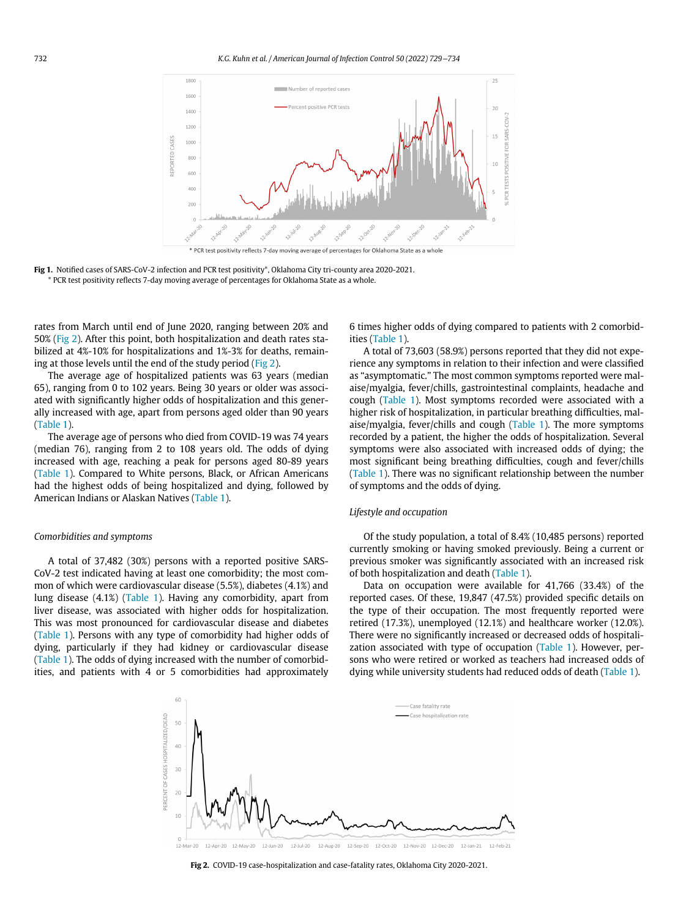<span id="page-3-0"></span>



rates from March until end of June 2020, ranging between 20% and 50% [\(Fig 2\)](#page-3-1). After this point, both hospitalization and death rates stabilized at 4%-10% for hospitalizations and 1%-3% for deaths, remaining at those levels until the end of the study period ([Fig 2\)](#page-3-1).

The average age of hospitalized patients was 63 years (median 65), ranging from 0 to 102 years. Being 30 years or older was associated with significantly higher odds of hospitalization and this generally increased with age, apart from persons aged older than 90 years [\(Table 1](#page-2-0)).

The average age of persons who died from COVID-19 was 74 years (median 76), ranging from 2 to 108 years old. The odds of dying increased with age, reaching a peak for persons aged 80-89 years [\(Table 1](#page-2-0)). Compared to White persons, Black, or African Americans had the highest odds of being hospitalized and dying, followed by American Indians or Alaskan Natives [\(Table 1](#page-2-0)).

#### Comorbidities and symptoms

<span id="page-3-1"></span>A total of 37,482 (30%) persons with a reported positive SARS-CoV-2 test indicated having at least one comorbidity; the most common of which were cardiovascular disease (5.5%), diabetes (4.1%) and lung disease (4.1%) [\(Table 1](#page-2-0)). Having any comorbidity, apart from liver disease, was associated with higher odds for hospitalization. This was most pronounced for cardiovascular disease and diabetes [\(Table 1](#page-2-0)). Persons with any type of comorbidity had higher odds of dying, particularly if they had kidney or cardiovascular disease [\(Table 1](#page-2-0)). The odds of dying increased with the number of comorbidities, and patients with 4 or 5 comorbidities had approximately

6 times higher odds of dying compared to patients with 2 comorbidities [\(Table 1](#page-2-0)).

A total of 73,603 (58.9%) persons reported that they did not experience any symptoms in relation to their infection and were classified as "asymptomatic." The most common symptoms reported were malaise/myalgia, fever/chills, gastrointestinal complaints, headache and cough ([Table 1](#page-2-0)). Most symptoms recorded were associated with a higher risk of hospitalization, in particular breathing difficulties, malaise/myalgia, fever/chills and cough [\(Table 1](#page-2-0)). The more symptoms recorded by a patient, the higher the odds of hospitalization. Several symptoms were also associated with increased odds of dying; the most significant being breathing difficulties, cough and fever/chills [\(Table 1\)](#page-2-0). There was no significant relationship between the number of symptoms and the odds of dying.

#### Lifestyle and occupation

Of the study population, a total of 8.4% (10,485 persons) reported currently smoking or having smoked previously. Being a current or previous smoker was significantly associated with an increased risk of both hospitalization and death ([Table 1\)](#page-2-0).

Data on occupation were available for 41,766 (33.4%) of the reported cases. Of these, 19,847 (47.5%) provided specific details on the type of their occupation. The most frequently reported were retired (17.3%), unemployed (12.1%) and healthcare worker (12.0%). There were no significantly increased or decreased odds of hospitali-zation associated with type of occupation [\(Table 1\)](#page-2-0). However, persons who were retired or worked as teachers had increased odds of dying while university students had reduced odds of death [\(Table 1](#page-2-0)).



Fig 2. COVID-19 case-hospitalization and case-fatality rates, Oklahoma City 2020-2021.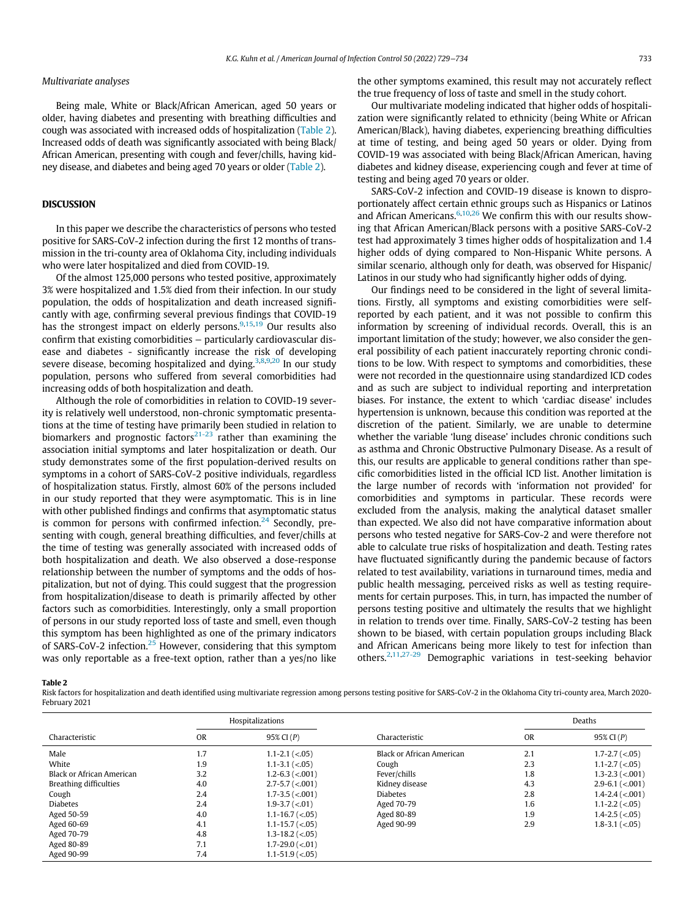#### Multivariate analyses

Being male, White or Black/African American, aged 50 years or older, having diabetes and presenting with breathing difficulties and cough was associated with increased odds of hospitalization [\(Table 2](#page-4-0)). Increased odds of death was significantly associated with being Black/ African American, presenting with cough and fever/chills, having kidney disease, and diabetes and being aged 70 years or older ([Table 2](#page-4-0)).

## **DISCUSSION**

In this paper we describe the characteristics of persons who tested positive for SARS-CoV-2 infection during the first 12 months of transmission in the tri-county area of Oklahoma City, including individuals who were later hospitalized and died from COVID-19.

Of the almost 125,000 persons who tested positive, approximately 3% were hospitalized and 1.5% died from their infection. In our study population, the odds of hospitalization and death increased significantly with age, confirming several previous findings that COVID-19 has the strongest impact on elderly persons. $9,15,19$  $9,15,19$  $9,15,19$  Our results also confirm that existing comorbidities − particularly cardiovascular disease and diabetes - significantly increase the risk of developing severe disease, becoming hospitalized and dying.<sup>[3](#page-5-6)[,8,](#page-5-14)[9](#page-5-12),[20](#page-5-15)</sup> In our study population, persons who suffered from several comorbidities had increasing odds of both hospitalization and death.

Although the role of comorbidities in relation to COVID-19 severity is relatively well understood, non-chronic symptomatic presentations at the time of testing have primarily been studied in relation to biomarkers and prognostic factors<sup>[21-23](#page-5-16)</sup> rather than examining the association initial symptoms and later hospitalization or death. Our study demonstrates some of the first population-derived results on symptoms in a cohort of SARS-CoV-2 positive individuals, regardless of hospitalization status. Firstly, almost 60% of the persons included in our study reported that they were asymptomatic. This is in line with other published findings and confirms that asymptomatic status is common for persons with confirmed infection.<sup>[24](#page-5-17)</sup> Secondly, presenting with cough, general breathing difficulties, and fever/chills at the time of testing was generally associated with increased odds of both hospitalization and death. We also observed a dose-response relationship between the number of symptoms and the odds of hospitalization, but not of dying. This could suggest that the progression from hospitalization/disease to death is primarily affected by other factors such as comorbidities. Interestingly, only a small proportion of persons in our study reported loss of taste and smell, even though this symptom has been highlighted as one of the primary indicators of SARS-CoV-2 infection.<sup>[25](#page-5-18)</sup> However, considering that this symptom was only reportable as a free-text option, rather than a yes/no like the other symptoms examined, this result may not accurately reflect the true frequency of loss of taste and smell in the study cohort.

Our multivariate modeling indicated that higher odds of hospitalization were significantly related to ethnicity (being White or African American/Black), having diabetes, experiencing breathing difficulties at time of testing, and being aged 50 years or older. Dying from COVID-19 was associated with being Black/African American, having diabetes and kidney disease, experiencing cough and fever at time of testing and being aged 70 years or older.

SARS-CoV-2 infection and COVID-19 disease is known to disproportionately affect certain ethnic groups such as Hispanics or Latinos and African Americans. $6,10,26$  $6,10,26$  $6,10,26$  We confirm this with our results showing that African American/Black persons with a positive SARS-CoV-2 test had approximately 3 times higher odds of hospitalization and 1.4 higher odds of dying compared to Non-Hispanic White persons. A similar scenario, although only for death, was observed for Hispanic/ Latinos in our study who had significantly higher odds of dying.

Our findings need to be considered in the light of several limitations. Firstly, all symptoms and existing comorbidities were selfreported by each patient, and it was not possible to confirm this information by screening of individual records. Overall, this is an important limitation of the study; however, we also consider the general possibility of each patient inaccurately reporting chronic conditions to be low. With respect to symptoms and comorbidities, these were not recorded in the questionnaire using standardized ICD codes and as such are subject to individual reporting and interpretation biases. For instance, the extent to which 'cardiac disease' includes hypertension is unknown, because this condition was reported at the discretion of the patient. Similarly, we are unable to determine whether the variable 'lung disease' includes chronic conditions such as asthma and Chronic Obstructive Pulmonary Disease. As a result of this, our results are applicable to general conditions rather than specific comorbidities listed in the official ICD list. Another limitation is the large number of records with 'information not provided' for comorbidities and symptoms in particular. These records were excluded from the analysis, making the analytical dataset smaller than expected. We also did not have comparative information about persons who tested negative for SARS-Cov-2 and were therefore not able to calculate true risks of hospitalization and death. Testing rates have fluctuated significantly during the pandemic because of factors related to test availability, variations in turnaround times, media and public health messaging, perceived risks as well as testing requirements for certain purposes. This, in turn, has impacted the number of persons testing positive and ultimately the results that we highlight in relation to trends over time. Finally, SARS-CoV-2 testing has been shown to be biased, with certain population groups including Black and African Americans being more likely to test for infection than others.[2](#page-5-1),[11](#page-5-21),[27-29](#page-5-22) Demographic variations in test-seeking behavior

#### <span id="page-4-0"></span>Table 2

Risk factors for hospitalization and death identified using multivariate regression among persons testing positive for SARS-CoV-2 in the Oklahoma City tri-county area, March 2020- February 2021

|                               | Hospitalizations |                                       |                           | Deaths    |                                   |
|-------------------------------|------------------|---------------------------------------|---------------------------|-----------|-----------------------------------|
| Characteristic                | <b>OR</b>        | 95% CI (P)                            | Characteristic            | <b>OR</b> | 95% CI (P)                        |
| Male                          | 1.7              | $1.1 - 2.1$ (<.05)                    | Black or African American | 2.1       | $1.7 - 2.7 \ (< .05)$             |
| White                         | 1.9              | $1.1 - 3.1$ (<.05)                    | Cough                     | 2.3       | $1.1 - 2.7 \ (< 0.05)$            |
| Black or African American     | 3.2              | $1.2 - 6.3$ (<.001)                   | Fever/chills              | 1.8       | $1.3 - 2.3$ (<.001)               |
| <b>Breathing difficulties</b> | 4.0              | $2.7 - 5.7 \mid \langle .001 \rangle$ | Kidney disease            | 4.3       | $2.9 - 6.1$ (<.001)               |
| Cough                         | 2.4              | $1.7 - 3.5 \approx 0.001$             | <b>Diabetes</b>           | 2.8       | $1.4 - 2.4 \left( < .001 \right)$ |
| <b>Diabetes</b>               | 2.4              | $1.9 - 3.7 \times 01$                 | Aged 70-79                | 1.6       | $1.1 - 2.2$ (<.05)                |
| Aged 50-59                    | 4.0              | $1.1 - 16.7 \, (< 0.05)$              | Aged 80-89                | 1.9       | $1.4 - 2.5 \ (< 0.05)$            |
| Aged 60-69                    | 4.1              | $1.1 - 15.7 \, (< .05)$               | Aged 90-99                | 2.9       | $1.8 - 3.1 \leq 0.05$             |
| Aged 70-79                    | 4.8              | $1.3 - 18.2 \ ( < 0.05)$              |                           |           |                                   |
| Aged 80-89                    | 7.1              | $1.7 - 29.0$ (<.01)                   |                           |           |                                   |
| Aged 90-99                    | 7.4              | $1.1 - 51.9$ (<.05)                   |                           |           |                                   |